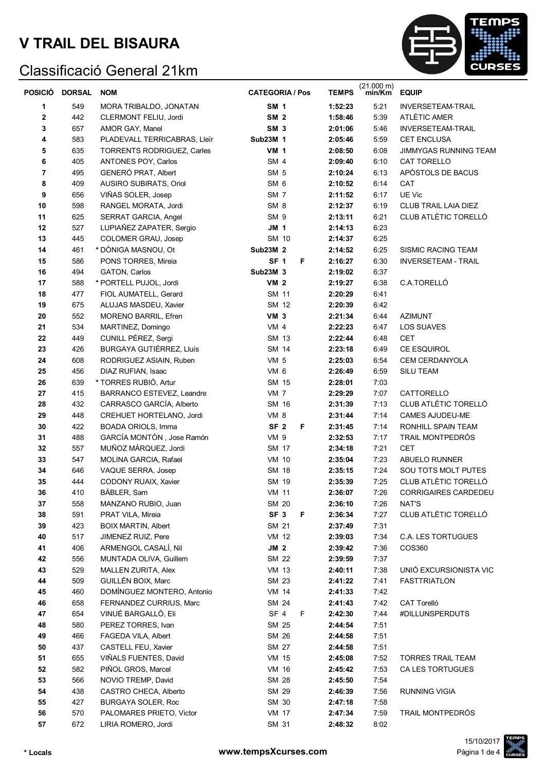

| <b>POSICIÓ</b> | <b>DORSAL</b> | <b>NOM</b>                   | <b>CATEGORIA / Pos</b> | <b>TEMPS</b> | $(21.000 \text{ m})$<br>min/Km | <b>EQUIP</b>                |
|----------------|---------------|------------------------------|------------------------|--------------|--------------------------------|-----------------------------|
| 1              | 549           | MORA TRIBALDO, JONATAN       | <b>SM 1</b>            | 1:52:23      | 5:21                           | <b>INVERSETEAM-TRAIL</b>    |
| 2              | 442           | CLERMONT FELIU, Jordi        | SM <sub>2</sub>        | 1:58:46      | 5:39                           | ATLÈTIC AMER                |
| 3              | 657           | AMOR GAY, Manel              | SM <sub>3</sub>        | 2:01:06      | 5:46                           | <b>INVERSETEAM-TRAIL</b>    |
| 4              | 583           | PLADEVALL TERRICABRAS, Lleïr | Sub23M 1               | 2:05:46      | 5:59                           | <b>CET ENCLUSA</b>          |
| 5              | 635           | TORRENTS RODRIGUEZ, Carles   | <b>VM 1</b>            | 2:08:50      | 6:08                           | JIMMYGAS RUNNING TEAM       |
| 6              | 405           | ANTONES POY, Carlos          | <b>SM 4</b>            | 2:09:40      | 6:10                           | CAT TORELLO                 |
| $\overline{7}$ | 495           | GENERÓ PRAT, Albert          | SM <sub>5</sub>        | 2:10:24      | 6:13                           | APÒSTOLS DE BACUS           |
| 8              | 409           | AUSIRO SUBIRATS, Oriol       | SM <sub>6</sub>        | 2:10:52      | 6:14                           | CAT                         |
| 9              | 656           | VIÑAS SOLER, Josep           | SM <sub>7</sub>        | 2:11:52      | 6:17                           | UE Vic                      |
| 10             | 598           | RANGEL MORATA, Jordi         | SM <sub>8</sub>        | 2:12:37      | 6:19                           | <b>CLUB TRAIL LAIA DIEZ</b> |
| 11             | 625           | SERRAT GARCIA, Angel         | SM <sub>9</sub>        | 2:13:11      | 6:21                           | CLUB ATLÈTIC TORELLÓ        |
| 12             | 527           | LUPIAÑEZ ZAPATER, Sergio     | <b>JM 1</b>            | 2:14:13      | 6:23                           |                             |
| 13             | 445           | COLOMER GRAU, Josep          | SM 10                  | 2:14:37      | 6:25                           |                             |
| 14             | 461           | * DÒNIGA MASNOU, Ot          | Sub23M 2               | 2:14:52      | 6:25                           | <b>SISMIC RACING TEAM</b>   |
| 15             | 586           | PONS TORRES, Mireia          | SF <sub>1</sub><br>F   | 2:16:27      | 6:30                           | <b>INVERSETEAM - TRAIL</b>  |
| 16             | 494           | GATON, Carlos                | Sub23M 3               | 2:19:02      | 6:37                           |                             |
| 17             | 588           | * PORTELL PUJOL, Jordi       | VM <sub>2</sub>        | 2:19:27      | 6:38                           | C.A.TORELLÓ                 |
| 18             | 477           | FIOL AUMATELL, Gerard        | <b>SM 11</b>           | 2:20:29      | 6:41                           |                             |
| 19             | 675           | ALUJAS MASDEU, Xavier        | SM 12                  | 2:20:39      | 6:42                           |                             |
| 20             | 552           | MORENO BARRIL, Efren         | VM <sub>3</sub>        | 2:21:34      | 6:44                           | <b>AZIMUNT</b>              |
| 21             | 534           | MARTINEZ, Domingo            | VM <sub>4</sub>        | 2:22:23      | 6:47                           | LOS SUAVES                  |
| 22             | 449           | CUNILL PÉREZ, Sergi          | SM 13                  | 2:22:44      | 6:48                           | <b>CET</b>                  |
| 23             | 426           | BURGAYA GUTIÉRREZ, Lluís     | SM 14                  | 2:23:18      | 6:49                           | CE ESQUIROL                 |
| 24             | 608           | RODRIGUEZ ASIAIN, Ruben      | VM <sub>5</sub>        | 2:25:03      | 6:54                           | CEM CERDANYOLA              |
| 25             | 456           | DIAZ RUFIAN, Isaac           | VM 6                   | 2:26:49      | 6:59                           | SILU TEAM                   |
| 26             | 639           | * TORRES RUBIÓ, Artur        | SM 15                  | 2:28:01      | 7:03                           |                             |
| 27             | 415           | BARRANCO ESTEVEZ, Leandre    | VM <sub>7</sub>        | 2:29:29      | 7:07                           | CATTORELLO                  |
| 28             | 432           | CARRASCO GARCÍA, Alberto     | SM 16                  | 2:31:39      | 7:13                           | CLUB ATLÈTIC TORELLÓ        |
| 29             | 448           | CREHUET HORTELANO, Jordi     | VM 8                   | 2:31:44      | 7:14                           | CAMES AJUDEU-ME             |
| 30             | 422           | BOADA ORIOLS, Imma           | SF <sub>2</sub><br>F   | 2:31:45      | 7:14                           | RONHILL SPAIN TEAM          |
| 31             | 488           | GARCÍA MONTÓN, Jose Ramón    | VM 9                   | 2:32:53      | 7:17                           | TRAIL MONTPEDRÓS            |
| 32             | 557           | MUÑOZ MÁRQUEZ, Jordi         | SM 17                  | 2:34:18      | 7:21                           | <b>CET</b>                  |
| 33             | 547           | MOLINA GARCIA, Rafael        | <b>VM 10</b>           | 2:35:04      | 7:23                           | <b>ABUELO RUNNER</b>        |
| 34             | 646           | VAQUE SERRA, Josep           | <b>SM 18</b>           | 2:35:15      | 7:24                           | SOU TOTS MOLT PUTES         |
| 35             | 444           | CODONY RUAIX, Xavier         | SM 19                  | 2:35:39      | 7:25                           | CLUB ATLÈTIC TORELLÓ        |
| 36             | 410           | BÄBLER, Sam                  | VM 11                  | 2:36:07      | 7:26                           | CORRIGAIRES CARDEDEU        |
| 37             | 558           | MANZANO RUBIO, Juan          | <b>SM 20</b>           | 2:36:10      | 7:26                           | NAT'S                       |
| 38             | 591           | PRAT VILA, Mireia            | SF <sub>3</sub><br>F.  | 2:36:34      | 7:27                           | CLUB ATLÈTIC TORELLÓ        |
| 39             | 423           | <b>BOIX MARTIN, Albert</b>   | SM 21                  | 2:37:49      | 7:31                           |                             |
| 40             | 517           | JIMENEZ RUIZ, Pere           | VM 12                  | 2:39:03      | 7:34                           | <b>C.A. LES TORTUGUES</b>   |
| 41             | 406           | ARMENGOL CASALÍ, Nil         | JM <sub>2</sub>        | 2:39:42      | 7:36                           | COS360                      |
| 42             | 556           | MUNTADA OLIVA, Guillem       | <b>SM 22</b>           | 2:39:59      | 7:37                           |                             |
| 43             | 529           | MALLEN ZURITA, Alex          | <b>VM 13</b>           | 2:40:11      | 7:38                           | UNIÓ EXCURSIONISTA VIC      |
| 44             | 509           | GUILLÉN BOIX, Marc           | SM 23                  | 2:41:22      | 7:41                           | <b>FASTTRIATLON</b>         |
| 45             | 460           | DOMÍNGUEZ MONTERO, Antonio   | VM 14                  | 2:41:33      | 7:42                           |                             |
| 46             | 658           | FERNANDEZ CURRIUS, Marc      | SM 24                  | 2:41:43      | 7:42                           | CAT Torelló                 |
| 47             | 654           | VINUÉ BARGALLÓ, Eli          | SF <sub>4</sub><br>F   | 2:42:30      | 7:44                           | #DILLUNSPERDUTS             |
| 48             | 580           | PEREZ TORRES, Ivan           | SM 25                  | 2:44:54      | 7:51                           |                             |
| 49             | 466           | FAGEDA VILA, Albert          | SM 26                  | 2:44:58      | 7:51                           |                             |
| 50             | 437           | CASTELL FEU, Xavier          | SM 27                  | 2:44:58      | 7:51                           |                             |
| 51             | 655           | VIÑALS FUENTES, David        | VM 15                  | 2:45:08      | 7:52                           | <b>TORRES TRAIL TEAM</b>    |
| 52             | 582           | PIÑOL GROS, Marcel           | VM 16                  | 2:45:42      | 7:53                           | CA LES TORTUGUES            |
| 53             | 566           | NOVIO TREMP, David           | SM 28                  | 2:45:50      | 7:54                           |                             |
| 54             | 438           | CASTRO CHECA, Alberto        | SM 29                  | 2:46:39      | 7:56                           | <b>RUNNING VIGIA</b>        |
| 55             | 427           | <b>BURGAYA SOLER, Roc</b>    | SM 30                  | 2:47:18      | 7:58                           |                             |
| 56             | 570           | PALOMARES PRIETO, Victor     | <b>VM 17</b>           | 2:47:34      | 7:59                           | TRAIL MONTPEDRÓS            |
| 57             | 672           | LIRIA ROMERO, Jordi          | SM 31                  | 2:48:32      | 8:02                           |                             |

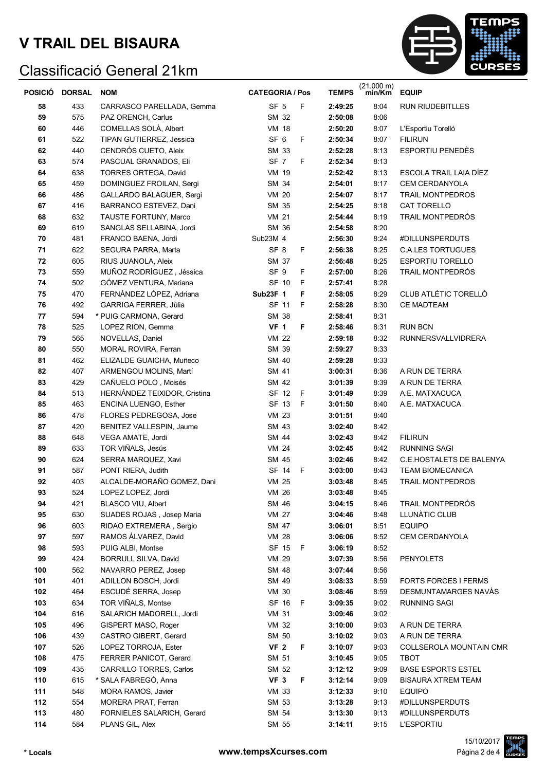

| POSICIÓ | <b>DORSAL</b> | <b>NOM</b>                   | <b>CATEGORIA / Pos</b> |     | <b>TEMPS</b> | $(21.000 \text{ m})$<br>min/Km | <b>EQUIP</b>                    |
|---------|---------------|------------------------------|------------------------|-----|--------------|--------------------------------|---------------------------------|
| 58      | 433           | CARRASCO PARELLADA, Gemma    | SF <sub>5</sub>        | F   | 2:49:25      | 8:04                           | <b>RUN RIUDEBITLLES</b>         |
| 59      | 575           | PAZ ORENCH, Carlus           | SM 32                  |     | 2:50:08      | 8:06                           |                                 |
| 60      | 446           | COMELLAS SOLÀ, Albert        | <b>VM 18</b>           |     | 2:50:20      | 8:07                           | L'Esportiu Torelló              |
| 61      | 522           | TIPAN GUTIERREZ, Jessica     | SF <sub>6</sub>        | F   | 2:50:34      | 8:07                           | <b>FILIRUN</b>                  |
| 62      | 440           | CENDRÓS CUETO, Aleix         | SM 33                  |     | 2:52:28      | 8:13                           | <b>ESPORTIU PENEDÈS</b>         |
| 63      | 574           | PASCUAL GRANADOS, Eli        | SF <sub>7</sub>        | F   | 2:52:34      | 8:13                           |                                 |
| 64      | 638           | TORRES ORTEGA, David         | VM 19                  |     | 2:52:42      | 8:13                           | ESCOLA TRAIL LAIA DÍEZ          |
| 65      | 459           | DOMINGUEZ FROILAN, Sergi     | SM 34                  |     | 2:54:01      | 8:17                           | <b>CEM CERDANYOLA</b>           |
| 66      | 486           | GALLARDO BALAGUER, Sergi     | <b>VM 20</b>           |     | 2:54:07      | 8:17                           | <b>TRAIL MONTPEDROS</b>         |
| 67      | 416           | BARRANCO ESTEVEZ, Dani       | SM 35                  |     | 2:54:25      | 8:18                           | CAT TORELLO                     |
| 68      | 632           | TAUSTE FORTUNY, Marco        | <b>VM 21</b>           |     | 2:54:44      | 8:19                           | <b>TRAIL MONTPEDRÓS</b>         |
| 69      | 619           | SANGLAS SELLABINA, Jordi     | SM 36                  |     | 2:54:58      | 8:20                           |                                 |
| 70      | 481           | FRANCO BAENA, Jordi          | Sub23M 4               |     | 2:56:30      | 8:24                           | #DILLUNSPERDUTS                 |
| 71      | 622           | SEGURA PARRA, Marta          | SF <sub>8</sub>        | F   | 2:56:38      | 8:25                           | <b>C.A.LES TORTUGUES</b>        |
| 72      | 605           | RIUS JUANOLA, Aleix          | SM 37                  |     | 2:56:48      | 8:25                           | <b>ESPORTIU TORELLO</b>         |
| 73      | 559           | MUÑOZ RODRÍGUEZ, Jèssica     | SF <sub>9</sub>        | F   | 2:57:00      | 8:26                           | TRAIL MONTPEDRÓS                |
| 74      | 502           | GÓMEZ VENTURA, Mariana       | SF 10                  | F   | 2:57:41      | 8:28                           |                                 |
| 75      | 470           | FERNÁNDEZ LÓPEZ, Adriana     | <b>Sub23F 1</b>        | F   | 2:58:05      | 8:29                           | CLUB ATLÈTIC TORELLÓ            |
| 76      | 492           | <b>GARRIGA FERRER, Júlia</b> | SF 11                  | F   | 2:58:28      | 8:30                           | <b>CE MADTEAM</b>               |
| 77      | 594           | * PUIG CARMONA, Gerard       | SM 38                  |     | 2:58:41      | 8:31                           |                                 |
| 78      | 525           | LOPEZ RION, Gemma            | <b>VF 1</b>            | F   | 2:58:46      | 8:31                           | <b>RUN BCN</b>                  |
| 79      | 565           | NOVELLAS, Daniel             | <b>VM 22</b>           |     | 2:59:18      | 8:32                           | <b>RUNNERSVALLVIDRERA</b>       |
| 80      | 550           | MORAL ROVIRA, Ferran         | SM 39                  |     | 2:59:27      | 8:33                           |                                 |
| 81      | 462           | ELIZALDE GUAICHA, Muñeco     | SM 40                  |     | 2:59:28      | 8:33                           |                                 |
| 82      | 407           | ARMENGOU MOLINS, Martí       | SM 41                  |     | 3:00:31      | 8:36                           | A RUN DE TERRA                  |
| 83      | 429           | CAÑUELO POLO, Moisés         | SM 42                  |     | 3:01:39      | 8:39                           | A RUN DE TERRA                  |
| 84      | 513           | HERNÁNDEZ TEIXIDOR, Cristina | SF 12 F                |     | 3:01:49      | 8:39                           | A.E. MATXACUCA                  |
| 85      | 463           | ENCINA LUENGO, Esther        | SF 13                  | -F  | 3:01:50      | 8:40                           | A.E. MATXACUCA                  |
| 86      | 478           | FLORES PEDREGOSA, Jose       | <b>VM 23</b>           |     | 3:01:51      | 8:40                           |                                 |
| 87      | 420           | BENITEZ VALLESPIN, Jaume     | SM 43                  |     | 3:02:40      | 8:42                           |                                 |
| 88      | 648           | VEGA AMATE, Jordi            | SM 44                  |     | 3:02:43      | 8:42                           | <b>FILIRUN</b>                  |
| 89      | 633           | TOR VIÑALS, Jesús            | <b>VM 24</b>           |     | 3:02:45      | 8:42                           | <b>RUNNING SAGI</b>             |
| 90      | 624           | SERRA MARQUEZ, Xavi          | SM 45                  |     | 3:02:46      | 8:42                           | <b>C.E.HOSTALETS DE BALENYA</b> |
| 91      | 587           | PONT RIERA, Judith           | SF 14                  | - F | 3:03:00      | 8:43                           | <b>TEAM BIOMECANICA</b>         |
| 92      | 403           | ALCALDE-MORAÑO GOMEZ, Dani   | VM 25                  |     | 3:03:48      | 8:45                           | <b>TRAIL MONTPEDROS</b>         |
| 93      | 524           | LOPEZ LOPEZ, Jordi           | VM 26                  |     | 3:03:48      | 8:45                           |                                 |
| 94      | 421           | <b>BLASCO VIU, Albert</b>    | SM 46                  |     | 3:04:15      | 8:46                           | TRAIL MONTPEDRÓS                |
| 95      | 630           | SUADES ROJAS, Josep Maria    | VM 27                  |     | 3:04:46      | 8:48                           | LLUNÀTIC CLUB                   |
| 96      | 603           | RIDAO EXTREMERA, Sergio      | SM 47                  |     | 3:06:01      | 8:51                           | <b>EQUIPO</b>                   |
| 97      | 597           | RAMOS ÁLVAREZ, David         | <b>VM 28</b>           |     | 3:06:06      | 8:52                           | CEM CERDANYOLA                  |
| 98      | 593           | PUIG ALBI, Montse            | SF 15 F                |     | 3:06:19      | 8:52                           |                                 |
| 99      | 424           | BORRULL SILVA, David         | <b>VM 29</b>           |     | 3:07:39      | 8:56                           | PENYOLETS                       |
| 100     | 562           | NAVARRO PEREZ, Josep         | SM 48                  |     | 3:07:44      | 8:56                           |                                 |
| 101     | 401           | ADILLON BOSCH, Jordi         | SM 49                  |     | 3:08:33      | 8:59                           | <b>FORTS FORCES I FERMS</b>     |
| 102     | 464           | ESCUDÉ SERRA, Josep          | <b>VM 30</b>           |     | 3:08:46      | 8:59                           | DESMUNTAMARGES NAVÀS            |
| 103     | 634           | TOR VIÑALS, Montse           | SF 16 F                |     | 3:09:35      | 9:02                           | <b>RUNNING SAGI</b>             |
| 104     | 616           | SALARICH MADORELL, Jordi     | <b>VM 31</b>           |     | 3:09:46      | 9:02                           |                                 |
| 105     | 496           | GISPERT MASO, Roger          | VM 32                  |     | 3:10:00      | 9:03                           | A RUN DE TERRA                  |
| 106     | 439           | CASTRO GIBERT, Gerard        | SM 50                  |     | 3:10:02      | 9:03                           | A RUN DE TERRA                  |
| 107     | 526           | LOPEZ TORROJA, Ester         | <b>VF 2</b>            | F   | 3:10:07      | 9:03                           | COLLSEROLA MOUNTAIN CMR         |
| 108     | 475           | FERRER PANICOT, Gerard       | SM 51                  |     | 3:10:45      | 9:05                           | TBOT                            |
| 109     | 435           | CARRILLO TORRES, Carlos      | SM 52                  |     | 3:12:12      | 9:09                           | <b>BASE ESPORTS ESTEL</b>       |
| 110     | 615           | * SALA FABREGÓ, Anna         | VF <sub>3</sub>        | F   | 3:12:14      | 9:09                           | <b>BISAURA XTREM TEAM</b>       |
| 111     | 548           | MORA RAMOS, Javier           | <b>VM 33</b>           |     | 3:12:33      | 9:10                           | <b>EQUIPO</b>                   |
| 112     | 554           | MORERA PRAT, Ferran          | SM 53                  |     | 3:13:28      | 9:13                           | #DILLUNSPERDUTS                 |
| 113     | 480           | FORNIELES SALARICH, Gerard   | SM 54                  |     | 3:13:30      | 9:13                           | #DILLUNSPERDUTS                 |
| 114     | 584           | PLANS GIL, Alex              | SM 55                  |     | 3:14:11      | 9:15                           | <b>L'ESPORTIU</b>               |

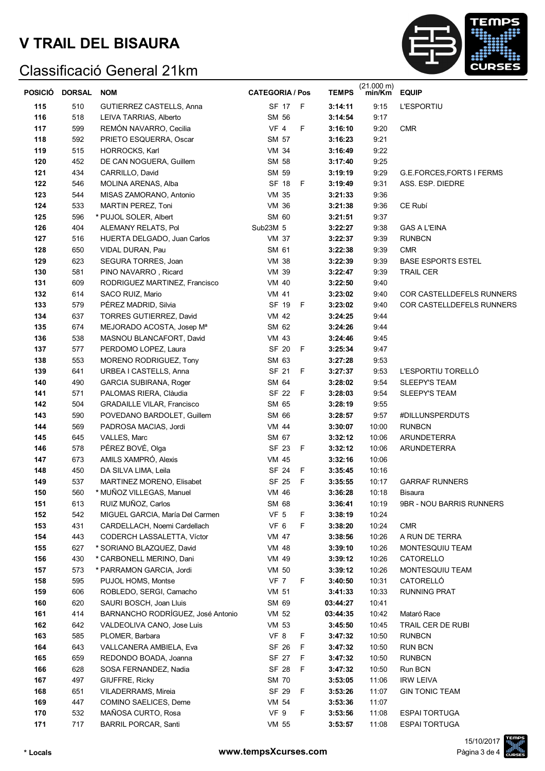

|     | POSICIÓ DORSAL | <b>NOM</b>                        | <b>CATEGORIA / Pos</b> |    | <b>TEMPS</b> | $(21.000 \text{ m})$<br>min/Km | <b>EQUIP</b>              |
|-----|----------------|-----------------------------------|------------------------|----|--------------|--------------------------------|---------------------------|
| 115 | 510            | GUTIERREZ CASTELLS, Anna          | SF 17 F                |    | 3:14:11      | 9:15                           | <b>L'ESPORTIU</b>         |
| 116 | 518            | LEIVA TARRIAS, Alberto            | SM 56                  |    | 3:14:54      | 9:17                           |                           |
| 117 | 599            | REMÓN NAVARRO, Cecilia            | <b>VF 4</b>            | F  | 3:16:10      | 9:20                           | <b>CMR</b>                |
| 118 | 592            | PRIETO ESQUERRA, Oscar            | SM 57                  |    | 3:16:23      | 9:21                           |                           |
| 119 | 515            | HORROCKS, Karl                    | <b>VM 34</b>           |    | 3:16:49      | 9:22                           |                           |
| 120 | 452            | DE CAN NOGUERA, Guillem           | SM 58                  |    | 3:17:40      | 9:25                           |                           |
| 121 | 434            | CARRILLO, David                   | SM 59                  |    | 3:19:19      | 9:29                           | G.E.FORCES, FORTS I FERMS |
| 122 | 546            | MOLINA ARENAS, Alba               | SF 18 F                |    | 3:19:49      | 9:31                           | ASS. ESP. DIEDRE          |
| 123 | 544            | MISAS ZAMORANO, Antonio           | <b>VM 35</b>           |    | 3:21:33      | 9:36                           |                           |
| 124 | 533            | MARTIN PEREZ, Toni                | <b>VM 36</b>           |    | 3:21:38      | 9:36                           | CE Rubí                   |
| 125 | 596            | * PUJOL SOLER, Albert             | SM 60                  |    | 3:21:51      | 9:37                           |                           |
| 126 | 404            | ALEMANY RELATS, Pol               | Sub23M 5               |    | 3:22:27      | 9:38                           | <b>GAS A L'EINA</b>       |
| 127 | 516            | HUERTA DELGADO, Juan Carlos       | VM 37                  |    | 3:22:37      | 9:39                           | <b>RUNBCN</b>             |
| 128 | 650            | VIDAL DURAN, Pau                  | SM 61                  |    | 3:22:38      | 9:39                           | <b>CMR</b>                |
| 129 | 623            | SEGURA TORRES, Joan               | <b>VM 38</b>           |    | 3:22:39      | 9:39                           | <b>BASE ESPORTS ESTEL</b> |
| 130 | 581            | PINO NAVARRO, Ricard              | VM 39                  |    | 3:22:47      | 9:39                           | <b>TRAIL CER</b>          |
| 131 | 609            | RODRIGUEZ MARTINEZ, Francisco     | VM 40                  |    | 3:22:50      | 9:40                           |                           |
| 132 | 614            | SACO RUIZ, Mario                  | VM 41                  |    | 3:23:02      | 9:40                           | COR CASTELLDEFELS RUNNERS |
| 133 | 579            | PÉREZ MADRID, Silvia              | SF 19 F                |    | 3:23:02      | 9:40                           | COR CASTELLDEFELS RUNNERS |
| 134 | 637            | <b>TORRES GUTIERREZ, David</b>    | VM 42                  |    | 3:24:25      | 9:44                           |                           |
| 135 | 674            | MEJORADO ACOSTA, Josep Mª         | SM 62                  |    | 3:24:26      | 9:44                           |                           |
| 136 | 538            | MASNOU BLANCAFORT, David          | VM 43                  |    | 3:24:46      | 9:45                           |                           |
| 137 | 577            | PERDOMO LOPEZ, Laura              | SF 20                  | F  | 3:25:34      | 9:47                           |                           |
| 138 | 553            | MORENO RODRIGUEZ, Tony            | SM 63                  |    | 3:27:28      | 9:53                           |                           |
| 139 | 641            | URBEA I CASTELLS, Anna            | SF 21                  | F  | 3:27:37      | 9:53                           | L'ESPORTIU TORELLO        |
| 140 | 490            | <b>GARCIA SUBIRANA, Roger</b>     | SM 64                  |    | 3:28:02      | 9:54                           | <b>SLEEPY'S TEAM</b>      |
| 141 | 571            | PALOMAS RIERA, Clàudia            | SF 22 F                |    | 3:28:03      | 9:54                           | <b>SLEEPY'S TEAM</b>      |
| 142 | 504            | <b>GRADAILLE VILAR, Francisco</b> | SM 65                  |    | 3:28:19      | 9:55                           |                           |
| 143 | 590            | POVEDANO BARDOLET, Guillem        | SM 66                  |    | 3:28:57      | 9:57                           | #DILLUNSPERDUTS           |
| 144 | 569            | PADROSA MACIAS, Jordi             | VM 44                  |    | 3:30:07      | 10:00                          | <b>RUNBCN</b>             |
| 145 | 645            | VALLES, Marc                      | SM 67                  |    | 3:32:12      | 10:06                          | ARUNDETERRA               |
| 146 | 578            | PÉREZ BOVÉ, Olga                  | SF 23 F                |    | 3:32:12      | 10:06                          | <b>ARUNDETERRA</b>        |
| 147 | 673            | AMILS XAMPRÓ, Alexis              | <b>VM 45</b>           |    | 3:32:16      | 10:06                          |                           |
| 148 | 450            | DA SILVA LIMA, Leila              | SF 24                  | F  | 3:35:45      | 10:16                          |                           |
| 149 | 537            | MARTINEZ MORENO, Elisabet         | SF 25 F                |    | 3:35:55      | 10:17                          | <b>GARRAF RUNNERS</b>     |
| 150 | 560            | * MUÑOZ VILLEGAS, Manuel          | VM 46                  |    | 3:36:28      | 10:18                          | Bisaura                   |
| 151 | 613            | RUIZ MUÑOZ, Carlos                | SM 68                  |    | 3:36:41      | 10:19                          | 9BR - NOU BARRIS RUNNERS  |
| 152 | 542            | MIGUEL GARCIA, María Del Carmen   | VF <sub>5</sub>        | F  | 3:38:19      | 10:24                          |                           |
| 153 | 431            | CARDELLACH, Noemi Cardellach      | VF 6                   | F  | 3:38:20      | 10:24                          | <b>CMR</b>                |
| 154 | 443            | CODERCH LASSALETTA, Víctor        | VM 47                  |    | 3:38:56      | 10:26                          | A RUN DE TERRA            |
| 155 | 627            | * SORIANO BLAZQUEZ, David         | VM 48                  |    | 3:39:10      | 10:26                          | <b>MONTESQUIU TEAM</b>    |
| 156 | 430            | * CARBONELL MERINO, Dani          | VM 49                  |    | 3:39:12      | 10:26                          | CATORELLO                 |
| 157 | 573            | * PARRAMON GARCIA, Jordi          | VM 50                  |    | 3:39:12      | 10:26                          | MONTESQUIU TEAM           |
| 158 | 595            | PUJOL HOMS, Montse                | VF 7 F                 |    | 3:40:50      | 10:31                          | CATORELLÓ                 |
| 159 | 606            | ROBLEDO, SERGI, Camacho           | VM 51                  |    | 3:41:33      | 10:33                          | RUNNING PRAT              |
| 160 | 620            | SAURI BOSCH, Joan Lluis           | SM 69                  |    | 03:44:27     | 10:41                          |                           |
| 161 | 414            | BARNANCHO RODRÍGUEZ, José Antonio | VM 52                  |    | 03:44:35     | 10:42                          | Mataró Race               |
| 162 | 642            | VALDEOLIVA CANO, Jose Luis        | VM 53                  |    | 3:45:50      | 10:45                          | TRAIL CER DE RUBI         |
| 163 | 585            | PLOMER, Barbara                   | VF 8                   | F  | 3:47:32      | 10:50                          | <b>RUNBCN</b>             |
| 164 | 643            | VALLCANERA AMBIELA, Eva           | SF 26                  | F. | 3:47:32      | 10:50                          | <b>RUN BCN</b>            |
| 165 | 659            | REDONDO BOADA, Joanna             | SF 27 F                |    | 3:47:32      | 10:50                          | <b>RUNBCN</b>             |
| 166 | 628            | SOSA FERNANDEZ, Nadia             | SF 28                  | F  | 3:47:32      | 10:50                          | Run BCN                   |
| 167 | 497            | GIUFFRE, Ricky                    | <b>SM 70</b>           |    | 3:53:05      | 11:06                          | <b>IRW LEIVA</b>          |
| 168 | 651            | VILADERRAMS, Mireia               | SF 29 F                |    | 3:53:26      | 11:07                          | <b>GIN TONIC TEAM</b>     |
| 169 | 447            | COMINO SAELICES, Deme             | VM 54                  |    | 3:53:36      | 11:07                          |                           |
| 170 | 532            | MAÑOSA CURTO, Rosa                | VF 9                   | F  | 3:53:56      | 11:08                          | <b>ESPAI TORTUGA</b>      |
| 171 | 717            | <b>BARRIL PORCAR, Santi</b>       | VM 55                  |    | 3:53:57      | 11:08                          | <b>ESPAI TORTUGA</b>      |